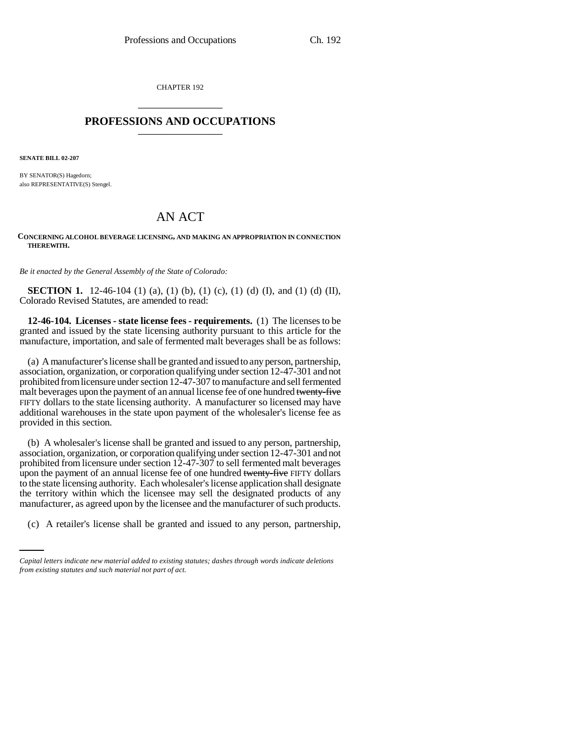CHAPTER 192 \_\_\_\_\_\_\_\_\_\_\_\_\_\_\_

## **PROFESSIONS AND OCCUPATIONS** \_\_\_\_\_\_\_\_\_\_\_\_\_\_\_

**SENATE BILL 02-207**

BY SENATOR(S) Hagedorn; also REPRESENTATIVE(S) Stengel.

# AN ACT

#### **CONCERNING ALCOHOL BEVERAGE LICENSING, AND MAKING AN APPROPRIATION IN CONNECTION THEREWITH.**

*Be it enacted by the General Assembly of the State of Colorado:*

**SECTION 1.** 12-46-104 (1) (a), (1) (b), (1) (c), (1) (d) (I), and (1) (d) (II), Colorado Revised Statutes, are amended to read:

**12-46-104. Licenses - state license fees - requirements.** (1) The licenses to be granted and issued by the state licensing authority pursuant to this article for the manufacture, importation, and sale of fermented malt beverages shall be as follows:

(a) A manufacturer's license shall be granted and issued to any person, partnership, association, organization, or corporation qualifying under section 12-47-301 and not prohibited from licensure under section 12-47-307 to manufacture and sell fermented malt beverages upon the payment of an annual license fee of one hundred twenty-five FIFTY dollars to the state licensing authority. A manufacturer so licensed may have additional warehouses in the state upon payment of the wholesaler's license fee as provided in this section.

manufacturer, as agreed upon by the licensee and the manufacturer of such products. (b) A wholesaler's license shall be granted and issued to any person, partnership, association, organization, or corporation qualifying under section 12-47-301 and not prohibited from licensure under section 12-47-307 to sell fermented malt beverages upon the payment of an annual license fee of one hundred twenty-five FIFTY dollars to the state licensing authority. Each wholesaler's license application shall designate the territory within which the licensee may sell the designated products of any

(c) A retailer's license shall be granted and issued to any person, partnership,

*Capital letters indicate new material added to existing statutes; dashes through words indicate deletions from existing statutes and such material not part of act.*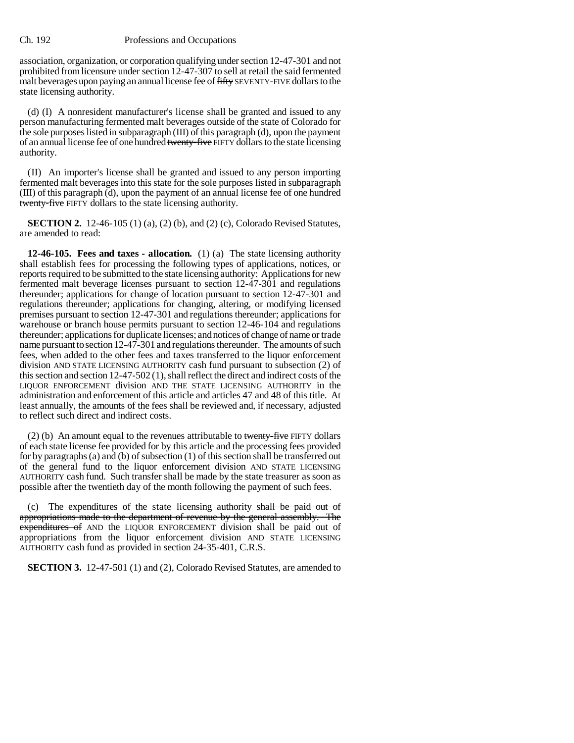#### Ch. 192 Professions and Occupations

association, organization, or corporation qualifying under section 12-47-301 and not prohibited from licensure under section 12-47-307 to sell at retail the said fermented malt beverages upon paying an annual license fee of fifty SEVENTY-FIVE dollars to the state licensing authority.

(d) (I) A nonresident manufacturer's license shall be granted and issued to any person manufacturing fermented malt beverages outside of the state of Colorado for the sole purposes listed in subparagraph (III) of this paragraph (d), upon the payment of an annual license fee of one hundred twenty-five FIFTY dollars to the state licensing authority.

(II) An importer's license shall be granted and issued to any person importing fermented malt beverages into this state for the sole purposes listed in subparagraph (III) of this paragraph (d), upon the payment of an annual license fee of one hundred twenty-five FIFTY dollars to the state licensing authority.

**SECTION 2.** 12-46-105 (1) (a), (2) (b), and (2) (c), Colorado Revised Statutes, are amended to read:

**12-46-105. Fees and taxes - allocation.** (1) (a) The state licensing authority shall establish fees for processing the following types of applications, notices, or reports required to be submitted to the state licensing authority: Applications for new fermented malt beverage licenses pursuant to section 12-47-301 and regulations thereunder; applications for change of location pursuant to section 12-47-301 and regulations thereunder; applications for changing, altering, or modifying licensed premises pursuant to section 12-47-301 and regulations thereunder; applications for warehouse or branch house permits pursuant to section 12-46-104 and regulations thereunder; applications for duplicate licenses; and notices of change of name or trade name pursuant to section 12-47-301 and regulations thereunder. The amounts of such fees, when added to the other fees and taxes transferred to the liquor enforcement division AND STATE LICENSING AUTHORITY cash fund pursuant to subsection (2) of this section and section 12-47-502 (1), shall reflect the direct and indirect costs of the LIQUOR ENFORCEMENT division AND THE STATE LICENSING AUTHORITY in the administration and enforcement of this article and articles 47 and 48 of this title. At least annually, the amounts of the fees shall be reviewed and, if necessary, adjusted to reflect such direct and indirect costs.

(2) (b) An amount equal to the revenues attributable to twenty-five FIFTY dollars of each state license fee provided for by this article and the processing fees provided for by paragraphs (a) and (b) of subsection (1) of this section shall be transferred out of the general fund to the liquor enforcement division AND STATE LICENSING AUTHORITY cash fund. Such transfer shall be made by the state treasurer as soon as possible after the twentieth day of the month following the payment of such fees.

(c) The expenditures of the state licensing authority shall be paid out of appropriations made to the department of revenue by the general assembly. The expenditures of AND the LIQUOR ENFORCEMENT division shall be paid out of appropriations from the liquor enforcement division AND STATE LICENSING AUTHORITY cash fund as provided in section 24-35-401, C.R.S.

**SECTION 3.** 12-47-501 (1) and (2), Colorado Revised Statutes, are amended to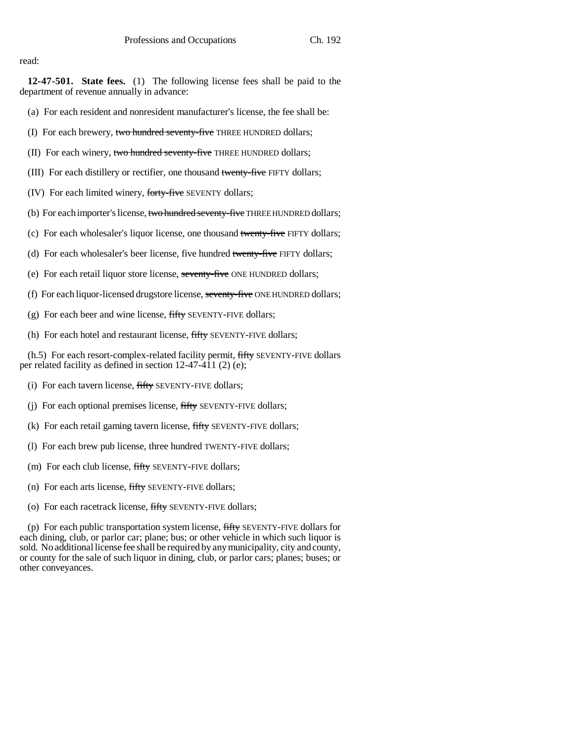read:

**12-47-501. State fees.** (1) The following license fees shall be paid to the department of revenue annually in advance:

- (a) For each resident and nonresident manufacturer's license, the fee shall be:
- (I) For each brewery, two hundred seventy-five THREE HUNDRED dollars;
- (II) For each winery, two hundred seventy-five THREE HUNDRED dollars;
- (III) For each distillery or rectifier, one thousand twenty-five FIFTY dollars;
- (IV) For each limited winery, forty-five SEVENTY dollars;
- (b) For each importer's license, two hundred seventy-five THREE HUNDRED dollars;
- (c) For each wholesaler's liquor license, one thousand twenty-five FIFTY dollars;
- (d) For each wholesaler's beer license, five hundred twenty-five FIFTY dollars;
- (e) For each retail liquor store license, seventy-five ONE HUNDRED dollars;
- (f) For each liquor-licensed drugstore license, seventy-five ONE HUNDRED dollars;
- (g) For each beer and wine license,  $fifty$  SEVENTY-FIVE dollars;
- (h) For each hotel and restaurant license, fifty SEVENTY-FIVE dollars;

(h.5) For each resort-complex-related facility permit, fifty SEVENTY-FIVE dollars per related facility as defined in section 12-47-411 (2) (e);

- (i) For each tavern license, fifty SEVENTY-FIVE dollars;
- (j) For each optional premises license, fifty SEVENTY-FIVE dollars;
- (k) For each retail gaming tavern license, fifty SEVENTY-FIVE dollars;
- (l) For each brew pub license, three hundred TWENTY-FIVE dollars;
- (m) For each club license, fifty SEVENTY-FIVE dollars;
- (n) For each arts license, fifty SEVENTY-FIVE dollars;
- (o) For each racetrack license, fifty SEVENTY-FIVE dollars;

(p) For each public transportation system license, fifty SEVENTY-FIVE dollars for each dining, club, or parlor car; plane; bus; or other vehicle in which such liquor is sold. No additional license fee shall be required by any municipality, city and county, or county for the sale of such liquor in dining, club, or parlor cars; planes; buses; or other conveyances.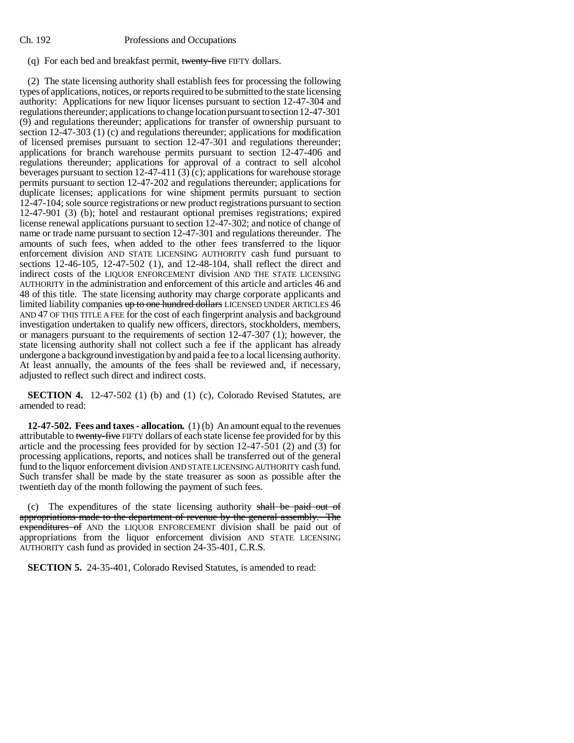#### Ch. 192 Professions and Occupations

### (q) For each bed and breakfast permit, twenty-five FIFTY dollars.

(2) The state licensing authority shall establish fees for processing the following types of applications, notices, or reports required to be submitted to the state licensing authority: Applications for new liquor licenses pursuant to section 12-47-304 and regulations thereunder; applications to change location pursuant to section 12-47-301 (9) and regulations thereunder; applications for transfer of ownership pursuant to section 12-47-303 (1) (c) and regulations thereunder; applications for modification of licensed premises pursuant to section 12-47-301 and regulations thereunder; applications for branch warehouse permits pursuant to section 12-47-406 and regulations thereunder; applications for approval of a contract to sell alcohol beverages pursuant to section 12-47-411 (3) (c); applications for warehouse storage permits pursuant to section 12-47-202 and regulations thereunder; applications for duplicate licenses; applications for wine shipment permits pursuant to section 12-47-104; sole source registrations or new product registrations pursuant to section 12-47-901 (3) (b); hotel and restaurant optional premises registrations; expired license renewal applications pursuant to section 12-47-302; and notice of change of name or trade name pursuant to section 12-47-301 and regulations thereunder. The amounts of such fees, when added to the other fees transferred to the liquor enforcement division AND STATE LICENSING AUTHORITY cash fund pursuant to sections 12-46-105, 12-47-502 (1), and 12-48-104, shall reflect the direct and indirect costs of the LIQUOR ENFORCEMENT division AND THE STATE LICENSING AUTHORITY in the administration and enforcement of this article and articles 46 and 48 of this title. The state licensing authority may charge corporate applicants and limited liability companies up to one hundred dollars LICENSED UNDER ARTICLES 46 AND 47 OF THIS TITLE A FEE for the cost of each fingerprint analysis and background investigation undertaken to qualify new officers, directors, stockholders, members, or managers pursuant to the requirements of section 12-47-307 (1); however, the state licensing authority shall not collect such a fee if the applicant has already undergone a background investigation by and paid a fee to a local licensing authority. At least annually, the amounts of the fees shall be reviewed and, if necessary, adjusted to reflect such direct and indirect costs.

**SECTION 4.** 12-47-502 (1) (b) and (1) (c), Colorado Revised Statutes, are amended to read:

**12-47-502. Fees and taxes - allocation.** (1) (b) An amount equal to the revenues attributable to twenty-five FIFTY dollars of each state license fee provided for by this article and the processing fees provided for by section 12-47-501 (2) and (3) for processing applications, reports, and notices shall be transferred out of the general fund to the liquor enforcement division AND STATE LICENSING AUTHORITY cash fund. Such transfer shall be made by the state treasurer as soon as possible after the twentieth day of the month following the payment of such fees.

(c) The expenditures of the state licensing authority shall be paid out of appropriations made to the department of revenue by the general assembly. The expenditures of AND the LIQUOR ENFORCEMENT division shall be paid out of appropriations from the liquor enforcement division AND STATE LICENSING AUTHORITY cash fund as provided in section 24-35-401, C.R.S.

**SECTION 5.** 24-35-401, Colorado Revised Statutes, is amended to read: